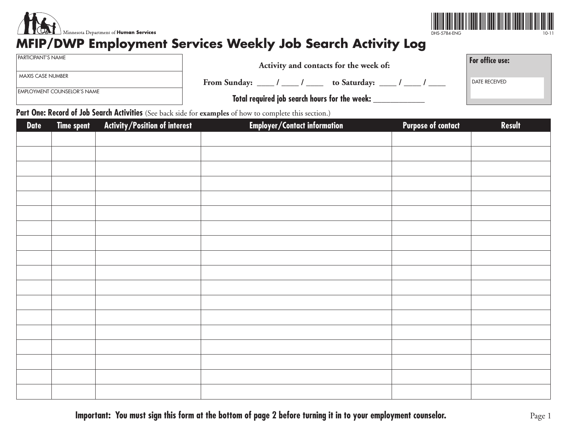



## **MFIP/DWP Employment Services Weekly Job Search Activity Log**

| PARTICIPANT'S NAME |  |
|--------------------|--|
|--------------------|--|

MAXIS CASE NUMBER

EMPLOYMENT COUNSELOR'S NAME

| Activity and contacts for the week of:                               | For office use:      |
|----------------------------------------------------------------------|----------------------|
| From Sunday: ____ / ____ / ____<br>to Saturday: _____ / ____ / _____ | <b>DATE RECEIVED</b> |
|                                                                      |                      |

 **Total required job search hours for the week: \_\_\_\_\_\_\_\_\_\_\_\_**

Part One: Record of Job Search Activities (See back side for examples of how to complete this section.)

| <b>Date</b> | Time spent | Activity/Position of interest | <b>Employer/Contact information</b> | <b>Purpose of contact</b> | Result |
|-------------|------------|-------------------------------|-------------------------------------|---------------------------|--------|
|             |            |                               |                                     |                           |        |
|             |            |                               |                                     |                           |        |
|             |            |                               |                                     |                           |        |
|             |            |                               |                                     |                           |        |
|             |            |                               |                                     |                           |        |
|             |            |                               |                                     |                           |        |
|             |            |                               |                                     |                           |        |
|             |            |                               |                                     |                           |        |
|             |            |                               |                                     |                           |        |
|             |            |                               |                                     |                           |        |
|             |            |                               |                                     |                           |        |
|             |            |                               |                                     |                           |        |
|             |            |                               |                                     |                           |        |
|             |            |                               |                                     |                           |        |
|             |            |                               |                                     |                           |        |
|             |            |                               |                                     |                           |        |
|             |            |                               |                                     |                           |        |
|             |            |                               |                                     |                           |        |